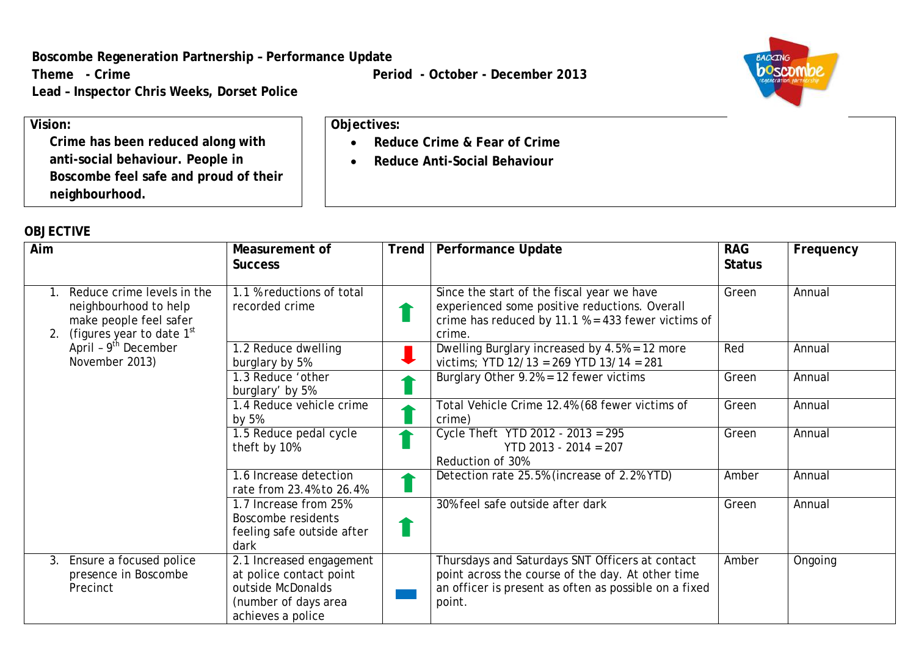**Boscombe Regeneration Partnership – Performance Update**

**Lead – Inspector Chris Weeks, Dorset Police**

**Theme** - Crime **Period** - October - December 2013

• **Reduce Crime & Fear of Crime** • **Reduce Anti-Social Behaviour**

**Objectives:**



**Vision: Crime has been reduced along with anti-social behaviour. People in Boscombe feel safe and proud of their neighbourhood.**

## **OBJECTIVE**

| Aim     |                                                                                                                                                        | Measurement of<br><b>Success</b>                                                                                      | Trend | <b>Performance Update</b>                                                                                                                                               | <b>RAG</b><br><b>Status</b> | Frequency |
|---------|--------------------------------------------------------------------------------------------------------------------------------------------------------|-----------------------------------------------------------------------------------------------------------------------|-------|-------------------------------------------------------------------------------------------------------------------------------------------------------------------------|-----------------------------|-----------|
| 2.      | Reduce crime levels in the<br>neighbourhood to help<br>make people feel safer<br>(figures year to date 1st<br>April - $9th$ December<br>November 2013) | 1.1 % reductions of total<br>recorded crime                                                                           |       | Since the start of the fiscal year we have<br>experienced some positive reductions. Overall<br>crime has reduced by 11.1 $% = 433$ fewer victims of<br>crime.           | Green                       | Annual    |
|         |                                                                                                                                                        | 1.2 Reduce dwelling<br>burglary by 5%                                                                                 |       | Dwelling Burglary increased by 4.5% = 12 more<br>victims; YTD 12/13 = 269 YTD 13/14 = 281                                                                               | Red                         | Annual    |
|         |                                                                                                                                                        | 1.3 Reduce 'other<br>burglary' by 5%                                                                                  |       | Burglary Other $9.2\% = 12$ fewer victims                                                                                                                               | Green                       | Annual    |
|         |                                                                                                                                                        | 1.4 Reduce vehicle crime<br>by 5%                                                                                     |       | Total Vehicle Crime 12.4% (68 fewer victims of<br>crime)                                                                                                                | Green                       | Annual    |
|         |                                                                                                                                                        | 1.5 Reduce pedal cycle<br>theft by 10%                                                                                |       | Cycle Theft YTD 2012 - $2013 = 295$<br>$YTD$ 2013 - 2014 = 207<br>Reduction of 30%                                                                                      | Green                       | Annual    |
|         |                                                                                                                                                        | 1.6 Increase detection<br>rate from 23.4% to 26.4%                                                                    |       | Detection rate 25.5% (increase of 2.2% YTD)                                                                                                                             | Amber                       | Annual    |
|         |                                                                                                                                                        | 1.7 Increase from 25%<br>Boscombe residents<br>feeling safe outside after<br>dark                                     |       | 30% feel safe outside after dark                                                                                                                                        | Green                       | Annual    |
| $3_{-}$ | Ensure a focused police<br>presence in Boscombe<br>Precinct                                                                                            | 2.1 Increased engagement<br>at police contact point<br>outside McDonalds<br>(number of days area<br>achieves a police |       | Thursdays and Saturdays SNT Officers at contact<br>point across the course of the day. At other time<br>an officer is present as often as possible on a fixed<br>point. | Amber                       | Ongoing   |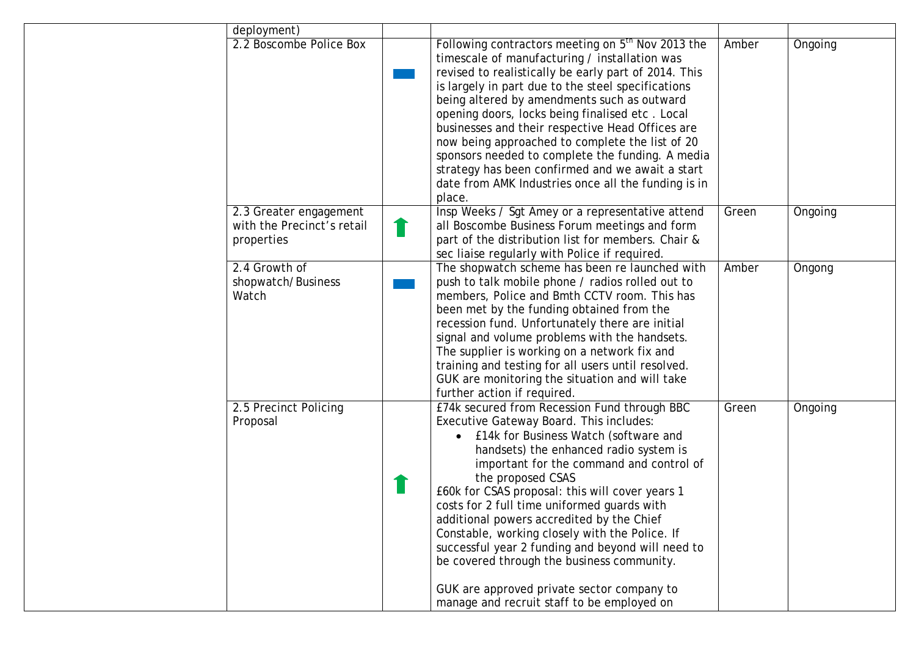| deployment)                                                        |                                                                                                                                                                                                                                                                                                                                                                                                                                                                                                                                                                                                                                             |       |         |
|--------------------------------------------------------------------|---------------------------------------------------------------------------------------------------------------------------------------------------------------------------------------------------------------------------------------------------------------------------------------------------------------------------------------------------------------------------------------------------------------------------------------------------------------------------------------------------------------------------------------------------------------------------------------------------------------------------------------------|-------|---------|
| 2.2 Boscombe Police Box                                            | Following contractors meeting on 5 <sup>th</sup> Nov 2013 the<br>timescale of manufacturing / installation was<br>revised to realistically be early part of 2014. This<br>is largely in part due to the steel specifications<br>being altered by amendments such as outward<br>opening doors, locks being finalised etc. Local<br>businesses and their respective Head Offices are<br>now being approached to complete the list of 20<br>sponsors needed to complete the funding. A media<br>strategy has been confirmed and we await a start<br>date from AMK Industries once all the funding is in<br>place.                              | Amber | Ongoing |
| 2.3 Greater engagement<br>with the Precinct's retail<br>properties | Insp Weeks / Sgt Amey or a representative attend<br>all Boscombe Business Forum meetings and form<br>part of the distribution list for members. Chair &<br>sec liaise regularly with Police if required.                                                                                                                                                                                                                                                                                                                                                                                                                                    | Green | Ongoing |
| 2.4 Growth of<br>shopwatch/Business<br>Watch                       | The shopwatch scheme has been re launched with<br>push to talk mobile phone / radios rolled out to<br>members, Police and Bmth CCTV room. This has<br>been met by the funding obtained from the<br>recession fund. Unfortunately there are initial<br>signal and volume problems with the handsets.<br>The supplier is working on a network fix and<br>training and testing for all users until resolved.<br>GUK are monitoring the situation and will take<br>further action if required.                                                                                                                                                  | Amber | Ongong  |
| 2.5 Precinct Policing<br>Proposal                                  | £74k secured from Recession Fund through BBC<br>Executive Gateway Board. This includes:<br>£14k for Business Watch (software and<br>handsets) the enhanced radio system is<br>important for the command and control of<br>the proposed CSAS<br>£60k for CSAS proposal: this will cover years 1<br>costs for 2 full time uniformed quards with<br>additional powers accredited by the Chief<br>Constable, working closely with the Police. If<br>successful year 2 funding and beyond will need to<br>be covered through the business community.<br>GUK are approved private sector company to<br>manage and recruit staff to be employed on | Green | Ongoing |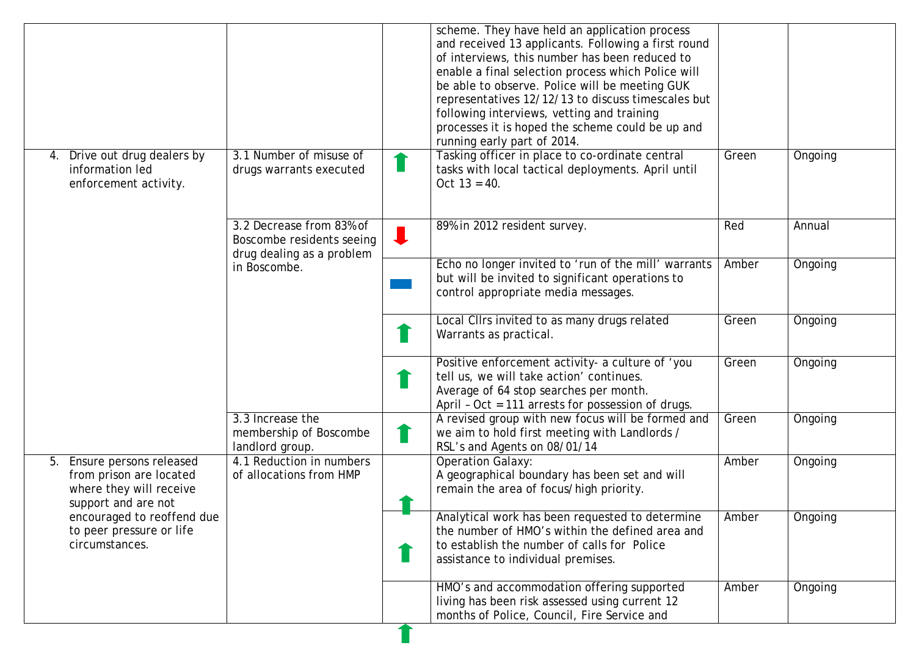|                                                                                                            |                                                                                    |   | scheme. They have held an application process<br>and received 13 applicants. Following a first round<br>of interviews, this number has been reduced to<br>enable a final selection process which Police will<br>be able to observe. Police will be meeting GUK<br>representatives 12/12/13 to discuss timescales but<br>following interviews, vetting and training<br>processes it is hoped the scheme could be up and<br>running early part of 2014. |       |         |
|------------------------------------------------------------------------------------------------------------|------------------------------------------------------------------------------------|---|-------------------------------------------------------------------------------------------------------------------------------------------------------------------------------------------------------------------------------------------------------------------------------------------------------------------------------------------------------------------------------------------------------------------------------------------------------|-------|---------|
| Drive out drug dealers by<br>4.<br>information led<br>enforcement activity.                                | 3.1 Number of misuse of<br>drugs warrants executed                                 | ш | Tasking officer in place to co-ordinate central<br>tasks with local tactical deployments. April until<br>Oct $13 = 40$ .                                                                                                                                                                                                                                                                                                                              | Green | Ongoing |
|                                                                                                            | 3.2 Decrease from 83% of<br>Boscombe residents seeing<br>drug dealing as a problem | ↓ | 89% in 2012 resident survey.                                                                                                                                                                                                                                                                                                                                                                                                                          | Red   | Annual  |
|                                                                                                            | in Boscombe.                                                                       |   | Echo no longer invited to 'run of the mill' warrants<br>but will be invited to significant operations to<br>control appropriate media messages.                                                                                                                                                                                                                                                                                                       | Amber | Ongoing |
|                                                                                                            |                                                                                    |   | Local Cllrs invited to as many drugs related<br>Warrants as practical.                                                                                                                                                                                                                                                                                                                                                                                | Green | Ongoing |
|                                                                                                            |                                                                                    |   | Positive enforcement activity- a culture of 'you<br>tell us, we will take action' continues.<br>Average of 64 stop searches per month.<br>April - Oct = 111 arrests for possession of drugs.                                                                                                                                                                                                                                                          | Green | Ongoing |
|                                                                                                            | 3.3 Increase the<br>membership of Boscombe<br>landlord group.                      |   | A revised group with new focus will be formed and<br>we aim to hold first meeting with Landlords /<br>RSL's and Agents on 08/01/14                                                                                                                                                                                                                                                                                                                    | Green | Ongoing |
| Ensure persons released<br>5.<br>from prison are located<br>where they will receive<br>support and are not | 4.1 Reduction in numbers<br>of allocations from HMP                                |   | <b>Operation Galaxy:</b><br>A geographical boundary has been set and will<br>remain the area of focus/high priority.                                                                                                                                                                                                                                                                                                                                  | Amber | Ongoing |
| encouraged to reoffend due<br>to peer pressure or life<br>circumstances.                                   |                                                                                    |   | Analytical work has been requested to determine<br>the number of HMO's within the defined area and<br>to establish the number of calls for Police<br>assistance to individual premises.                                                                                                                                                                                                                                                               | Amber | Ongoing |
|                                                                                                            |                                                                                    |   | HMO's and accommodation offering supported<br>living has been risk assessed using current 12<br>months of Police, Council, Fire Service and                                                                                                                                                                                                                                                                                                           | Amber | Ongoing |

T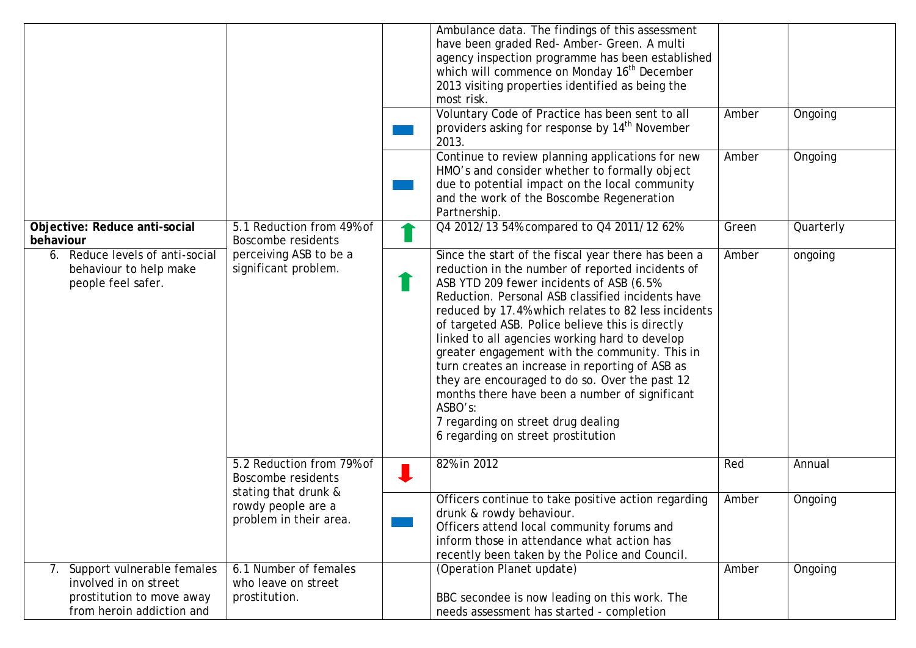|                                                                                                                  |                                                                                |   | Ambulance data. The findings of this assessment<br>have been graded Red- Amber- Green. A multi<br>agency inspection programme has been established<br>which will commence on Monday 16 <sup>th</sup> December<br>2013 visiting properties identified as being the<br>most risk.<br>Voluntary Code of Practice has been sent to all<br>providers asking for response by 14 <sup>th</sup> November<br>2013.                                                                                                                                                                                                                                                             | Amber | Ongoing   |
|------------------------------------------------------------------------------------------------------------------|--------------------------------------------------------------------------------|---|-----------------------------------------------------------------------------------------------------------------------------------------------------------------------------------------------------------------------------------------------------------------------------------------------------------------------------------------------------------------------------------------------------------------------------------------------------------------------------------------------------------------------------------------------------------------------------------------------------------------------------------------------------------------------|-------|-----------|
|                                                                                                                  |                                                                                |   | Continue to review planning applications for new<br>HMO's and consider whether to formally object<br>due to potential impact on the local community<br>and the work of the Boscombe Regeneration<br>Partnership.                                                                                                                                                                                                                                                                                                                                                                                                                                                      | Amber | Ongoing   |
| Objective: Reduce anti-social<br>behaviour                                                                       | 5.1 Reduction from 49% of<br><b>Boscombe residents</b>                         |   | Q4 2012/13 54% compared to Q4 2011/12 62%                                                                                                                                                                                                                                                                                                                                                                                                                                                                                                                                                                                                                             | Green | Quarterly |
| 6. Reduce levels of anti-social<br>behaviour to help make<br>people feel safer.                                  | perceiving ASB to be a<br>significant problem.                                 | 1 | Since the start of the fiscal year there has been a<br>reduction in the number of reported incidents of<br>ASB YTD 209 fewer incidents of ASB (6.5%<br>Reduction. Personal ASB classified incidents have<br>reduced by 17.4% which relates to 82 less incidents<br>of targeted ASB. Police believe this is directly<br>linked to all agencies working hard to develop<br>greater engagement with the community. This in<br>turn creates an increase in reporting of ASB as<br>they are encouraged to do so. Over the past 12<br>months there have been a number of significant<br>ASBO's:<br>7 regarding on street drug dealing<br>6 regarding on street prostitution | Amber | ongoing   |
|                                                                                                                  | 5.2 Reduction from 79% of<br><b>Boscombe residents</b><br>stating that drunk & |   | 82% in 2012                                                                                                                                                                                                                                                                                                                                                                                                                                                                                                                                                                                                                                                           | Red   | Annual    |
|                                                                                                                  | rowdy people are a<br>problem in their area.                                   |   | Officers continue to take positive action regarding<br>drunk & rowdy behaviour.<br>Officers attend local community forums and<br>inform those in attendance what action has<br>recently been taken by the Police and Council.                                                                                                                                                                                                                                                                                                                                                                                                                                         | Amber | Ongoing   |
| 7. Support vulnerable females<br>involved in on street<br>prostitution to move away<br>from heroin addiction and | 6.1 Number of females<br>who leave on street<br>prostitution.                  |   | (Operation Planet update)<br>BBC secondee is now leading on this work. The<br>needs assessment has started - completion                                                                                                                                                                                                                                                                                                                                                                                                                                                                                                                                               | Amber | Ongoing   |